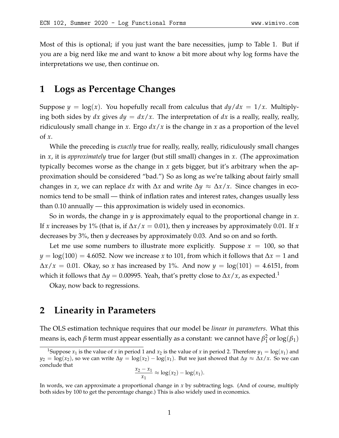Most of this is optional; if you just want the bare necessities, jump to Table [1.](#page-4-0) But if you are a big nerd like me and want to know a bit more about why log forms have the interpretations we use, then continue on.

## **1 Logs as Percentage Changes**

Suppose  $y = \log(x)$ . You hopefully recall from calculus that  $dy/dx = 1/x$ . Multiplying both sides by  $dx$  gives  $dy = dx/x$ . The interpretation of  $dx$  is a really, really, really, ridiculously small change in *x*. Ergo *dx*/*x* is the change in *x* as a proportion of the level of *x*.

While the preceding is *exactly* true for really, really, really, ridiculously small changes in *x*, it is *approximately* true for larger (but still small) changes in *x*. (The approximation typically becomes worse as the change in *x* gets bigger, but it's arbitrary when the approximation should be considered "bad.") So as long as we're talking about fairly small changes in *x*, we can replace dx with  $\Delta x$  and write  $\Delta y \approx \Delta x / x$ . Since changes in economics tend to be small — think of inflation rates and interest rates, changes usually less than 0.10 annually — this approximation is widely used in economics.

So in words, the change in *y* is approximately equal to the proportional change in *x*. If *x* increases by 1% (that is, if ∆*x*/*x* = 0.01), then *y* increases by approximately 0.01. If *x* decreases by 3%, then *y* decreases by approximately 0.03. And so on and so forth.

Let me use some numbers to illustrate more explicitly. Suppose  $x = 100$ , so that *y* = log(100) = 4.6052. Now we increase *x* to 101, from which it follows that ∆*x* = 1 and  $\Delta x/x = 0.01$ . Okay, so *x* has increased by 1%. And now *y* = log(101) = 4.6151, from which it follows that  $\Delta y = 0.00995$ . Yeah, that's pretty close to  $\Delta x / x$ , as expected.<sup>[1](#page-0-0)</sup>

Okay, now back to regressions.

## **2 Linearity in Parameters**

The OLS estimation technique requires that our model be *linear in parameters*. What this means is, each *β* term must appear essentially as a constant: we cannot have *β* 2  $\frac{2}{1}$  or  $\log(\beta_1)$ 

$$
\frac{x_2 - x_1}{x_1} \approx \log(x_2) - \log(x_1).
$$

<span id="page-0-0"></span><sup>&</sup>lt;sup>1</sup>Suppose  $x_1$  is the value of *x* in period 1 and  $x_2$  is the value of *x* in period 2. Therefore  $y_1 = \log(x_1)$  and *y*<sub>2</sub> = log(*x*<sub>2</sub>), so we can write  $\Delta y = \log(x_2) - \log(x_1)$ . But we just showed that  $\Delta y \approx \Delta x / x$ . So we can conclude that

In words, we can approximate a proportional change in *x* by subtracting logs. (And of course, multiply both sides by 100 to get the percentage change.) This is also widely used in economics.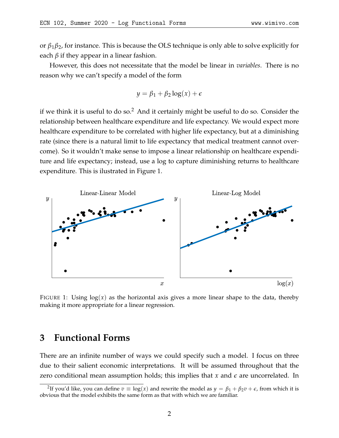or *β*1*β*2, for instance. This is because the OLS technique is only able to solve explicitly for each  $\beta$  if they appear in a linear fashion.

However, this does not necessitate that the model be linear in *variables*. There is no reason why we can't specify a model of the form

$$
y = \beta_1 + \beta_2 \log(x) + \epsilon
$$

if we think it is useful to do so.<sup>[2](#page-1-0)</sup> And it certainly might be useful to do so. Consider the relationship between healthcare expenditure and life expectancy. We would expect more healthcare expenditure to be correlated with higher life expectancy, but at a diminishing rate (since there is a natural limit to life expectancy that medical treatment cannot overcome). So it wouldn't make sense to impose a linear relationship on healthcare expenditure and life expectancy; instead, use a log to capture diminishing returns to healthcare expenditure. This is ilustrated in Figure [1.](#page-1-1)

<span id="page-1-1"></span>

FIGURE 1: Using  $log(x)$  as the horizontal axis gives a more linear shape to the data, thereby making it more appropriate for a linear regression.

### **3 Functional Forms**

There are an infinite number of ways we could specify such a model. I focus on three due to their salient economic interpretations. It will be assumed throughout that the zero conditional mean assumption holds; this implies that *x* and *e* are uncorrelated. In

<span id="page-1-0"></span><sup>&</sup>lt;sup>2</sup>If you'd like, you can define  $v \equiv \log(x)$  and rewrite the model as  $y = \beta_1 + \beta_2 v + \epsilon$ , from which it is obvious that the model exhibits the same form as that with which we are familiar.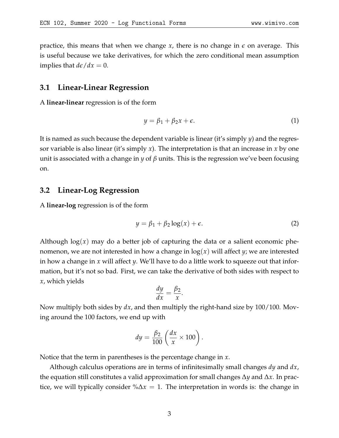practice, this means that when we change  $x$ , there is no change in  $\epsilon$  on average. This is useful because we take derivatives, for which the zero conditional mean assumption implies that  $d\epsilon/dx = 0$ .

#### **3.1 Linear-Linear Regression**

A **linear-linear** regression is of the form

$$
y = \beta_1 + \beta_2 x + \epsilon. \tag{1}
$$

It is named as such because the dependent variable is linear (it's simply *y*) and the regressor variable is also linear (it's simply *x*). The interpretation is that an increase in *x* by one unit is associated with a change in *y* of  $\beta$  units. This is the regression we've been focusing on.

#### **3.2 Linear-Log Regression**

A **linear-log** regression is of the form

$$
y = \beta_1 + \beta_2 \log(x) + \epsilon. \tag{2}
$$

Although log(*x*) may do a better job of capturing the data or a salient economic phenomenon, we are not interested in how a change in log(*x*) will affect *y*; we are interested in how a change in *x* will affect *y*. We'll have to do a little work to squeeze out that information, but it's not so bad. First, we can take the derivative of both sides with respect to *x*, which yields

$$
\frac{dy}{dx} = \frac{\beta_2}{x}.
$$

Now multiply both sides by *dx*, and then multiply the right-hand size by 100/100. Moving around the 100 factors, we end up with

$$
dy = \frac{\beta_2}{100} \left( \frac{dx}{x} \times 100 \right).
$$

Notice that the term in parentheses is the percentage change in *x*.

Although calculus operations are in terms of infinitesimally small changes *dy* and *dx*, the equation still constitutes a valid approximation for small changes ∆*y* and ∆*x*. In practice, we will typically consider %∆*x* = 1. The interpretation in words is: the change in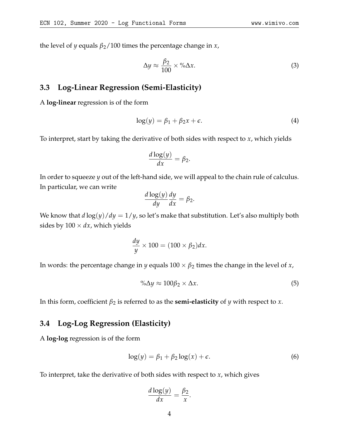the level of *y* equals  $\beta_2/100$  times the percentage change in *x*,

$$
\Delta y \approx \frac{\beta_2}{100} \times \% \Delta x. \tag{3}
$$

### **3.3 Log-Linear Regression (Semi-Elasticity)**

A **log-linear** regression is of the form

$$
\log(y) = \beta_1 + \beta_2 x + \epsilon. \tag{4}
$$

To interpret, start by taking the derivative of both sides with respect to *x*, which yields

$$
\frac{d\log(y)}{dx} = \beta_2.
$$

In order to squeeze *y* out of the left-hand side, we will appeal to the chain rule of calculus. In particular, we can write

$$
\frac{d\log(y)}{dy}\frac{dy}{dx} = \beta_2.
$$

We know that  $d \log(y)/dy = 1/y$ , so let's make that substitution. Let's also multiply both sides by  $100 \times dx$ , which yields

$$
\frac{dy}{y} \times 100 = (100 \times \beta_2) dx.
$$

In words: the percentage change in *y* equals  $100 \times \beta_2$  times the change in the level of *x*,

$$
\% \Delta y \approx 100 \beta_2 \times \Delta x. \tag{5}
$$

In this form, coefficient  $\beta_2$  is referred to as the **semi-elasticity** of *y* with respect to *x*.

### **3.4 Log-Log Regression (Elasticity)**

A **log-log** regression is of the form

$$
\log(y) = \beta_1 + \beta_2 \log(x) + \epsilon. \tag{6}
$$

To interpret, take the derivative of both sides with respect to *x*, which gives

$$
\frac{d\log(y)}{dx} = \frac{\beta_2}{x}.
$$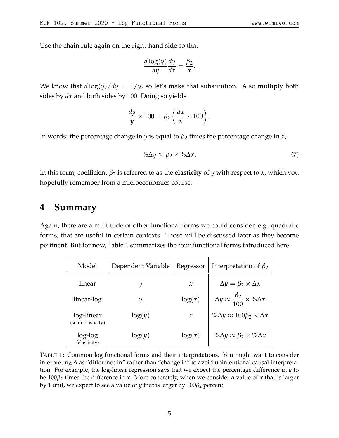Use the chain rule again on the right-hand side so that

$$
\frac{d \log(y)}{dy} \frac{dy}{dx} = \frac{\beta_2}{x}.
$$

We know that  $d \log(y)/dy = 1/y$ , so let's make that substitution. Also multiply both sides by *dx* and both sides by 100. Doing so yields

$$
\frac{dy}{y} \times 100 = \beta_2 \left( \frac{dx}{x} \times 100 \right).
$$

In words: the percentage change in *y* is equal to  $\beta_2$  times the percentage change in *x*,

$$
\% \Delta y \approx \beta_2 \times \% \Delta x. \tag{7}
$$

In this form, coefficient  $\beta_2$  is referred to as the **elasticity** of *y* with respect to *x*, which you hopefully remember from a microeconomics course.

## **4 Summary**

Again, there are a multitude of other functional forms we could consider, e.g. quadratic forms, that are useful in certain contexts. Those will be discussed later as they become pertinent. But for now, Table [1](#page-4-0) summarizes the four functional forms introduced here.

<span id="page-4-0"></span>

| Model                           | Dependent Variable | Regressor     | Interpretation of $\beta_2$                               |
|---------------------------------|--------------------|---------------|-----------------------------------------------------------|
| linear                          | y                  | $\chi$        | $\Delta y = \beta_2 \times \Delta x$                      |
| linear-log                      | Y                  | log(x)        | $\Delta y \approx \frac{\beta_2}{100} \times \% \Delta x$ |
| log-linear<br>(semi-elasticity) | log(y)             | $\mathcal{X}$ | $\% \Delta y \approx 100 \beta_2 \times \Delta x$         |
| log-log<br>(elasticity)         | log(y)             | log(x)        | $\% \Delta y \approx \beta_2 \times \% \Delta x$          |

TABLE 1: Common log functional forms and their interpretations. You might want to consider interpreting ∆ as "difference in" rather than "change in" to avoid unintentional causal interpretation. For example, the log-linear regression says that we expect the percentage difference in *y* to be 100*β*<sup>2</sup> times the difference in *x*. More concretely, when we consider a value of *x* that is larger by 1 unit, we expect to see a value of *y* that is larger by  $100\beta_2$  percent.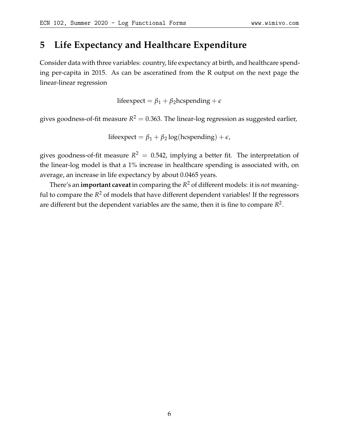# **5 Life Expectancy and Healthcare Expenditure**

Consider data with three variables: country, life expectancy at birth, and healthcare spending per-capita in 2015. As can be asceratined from the R output on the next page the linear-linear regression

lifeexpect =  $\beta_1 + \beta_2$ hcspending +  $\epsilon$ 

gives goodness-of-fit measure  $R^2=0.363$ . The linear-log regression as suggested earlier,

lifeexpect =  $\beta_1 + \beta_2 \log(\text{hcspending}) + \epsilon$ ,

gives goodness-of-fit measure  $R^2 = 0.542$ , implying a better fit. The interpretation of the linear-log model is that a 1% increase in healthcare spending is associated with, on average, an increase in life expectancy by about 0.0465 years.

There's an **important caveat** in comparing the *R* <sup>2</sup> of different models: it is *not* meaningful to compare the *R* <sup>2</sup> of models that have different dependent variables! If the regressors are different but the dependent variables are the same, then it is fine to compare  $R^2$ .